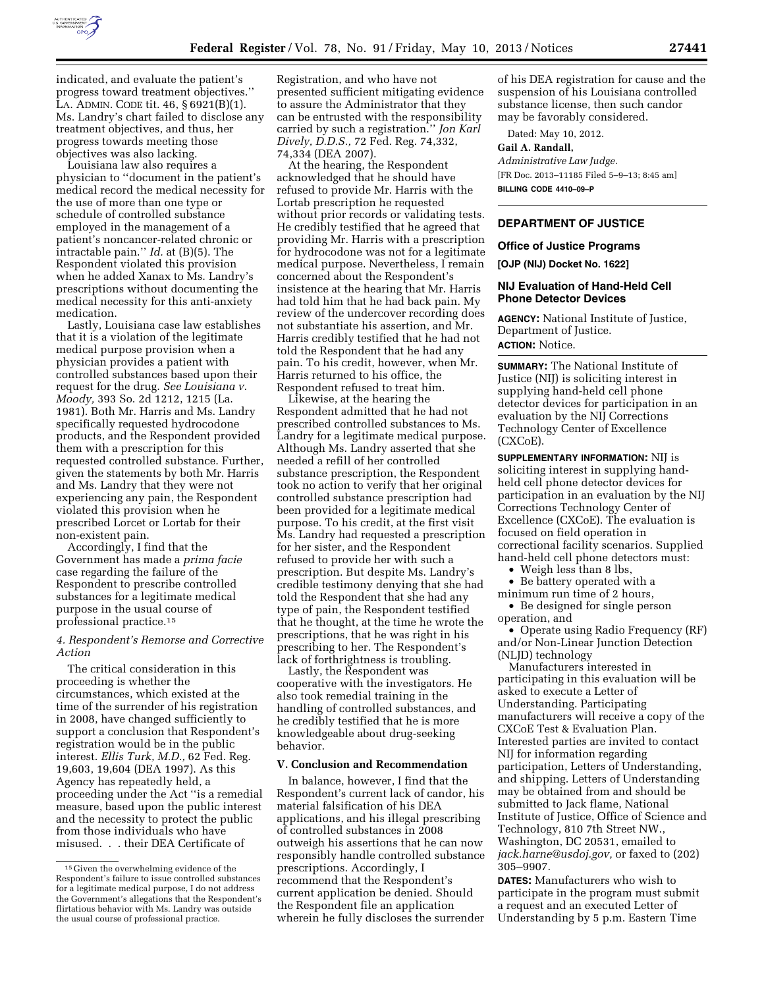

indicated, and evaluate the patient's progress toward treatment objectives.'' LA. ADMIN. CODE tit. 46, § 6921(B)(1). Ms. Landry's chart failed to disclose any treatment objectives, and thus, her progress towards meeting those objectives was also lacking.

Louisiana law also requires a physician to ''document in the patient's medical record the medical necessity for the use of more than one type or schedule of controlled substance employed in the management of a patient's noncancer-related chronic or intractable pain.'' *Id.* at (B)(5). The Respondent violated this provision when he added Xanax to Ms. Landry's prescriptions without documenting the medical necessity for this anti-anxiety medication.

Lastly, Louisiana case law establishes that it is a violation of the legitimate medical purpose provision when a physician provides a patient with controlled substances based upon their request for the drug. *See Louisiana v. Moody,* 393 So. 2d 1212, 1215 (La. 1981). Both Mr. Harris and Ms. Landry specifically requested hydrocodone products, and the Respondent provided them with a prescription for this requested controlled substance. Further, given the statements by both Mr. Harris and Ms. Landry that they were not experiencing any pain, the Respondent violated this provision when he prescribed Lorcet or Lortab for their non-existent pain.

Accordingly, I find that the Government has made a *prima facie*  case regarding the failure of the Respondent to prescribe controlled substances for a legitimate medical purpose in the usual course of professional practice.15

# *4. Respondent's Remorse and Corrective Action*

The critical consideration in this proceeding is whether the circumstances, which existed at the time of the surrender of his registration in 2008, have changed sufficiently to support a conclusion that Respondent's registration would be in the public interest. *Ellis Turk, M.D.,* 62 Fed. Reg. 19,603, 19,604 (DEA 1997). As this Agency has repeatedly held, a proceeding under the Act ''is a remedial measure, based upon the public interest and the necessity to protect the public from those individuals who have misused. . . their DEA Certificate of

Registration, and who have not presented sufficient mitigating evidence to assure the Administrator that they can be entrusted with the responsibility carried by such a registration.'' *Jon Karl Dively, D.D.S.,* 72 Fed. Reg. 74,332, 74,334 (DEA 2007).

At the hearing, the Respondent acknowledged that he should have refused to provide Mr. Harris with the Lortab prescription he requested without prior records or validating tests. He credibly testified that he agreed that providing Mr. Harris with a prescription for hydrocodone was not for a legitimate medical purpose. Nevertheless, I remain concerned about the Respondent's insistence at the hearing that Mr. Harris had told him that he had back pain. My review of the undercover recording does not substantiate his assertion, and Mr. Harris credibly testified that he had not told the Respondent that he had any pain. To his credit, however, when Mr. Harris returned to his office, the Respondent refused to treat him.

Likewise, at the hearing the Respondent admitted that he had not prescribed controlled substances to Ms. Landry for a legitimate medical purpose. Although Ms. Landry asserted that she needed a refill of her controlled substance prescription, the Respondent took no action to verify that her original controlled substance prescription had been provided for a legitimate medical purpose. To his credit, at the first visit Ms. Landry had requested a prescription for her sister, and the Respondent refused to provide her with such a prescription. But despite Ms. Landry's credible testimony denying that she had told the Respondent that she had any type of pain, the Respondent testified that he thought, at the time he wrote the prescriptions, that he was right in his prescribing to her. The Respondent's lack of forthrightness is troubling.

Lastly, the Respondent was cooperative with the investigators. He also took remedial training in the handling of controlled substances, and he credibly testified that he is more knowledgeable about drug-seeking behavior.

#### **V. Conclusion and Recommendation**

In balance, however, I find that the Respondent's current lack of candor, his material falsification of his DEA applications, and his illegal prescribing of controlled substances in 2008 outweigh his assertions that he can now responsibly handle controlled substance prescriptions. Accordingly, I recommend that the Respondent's current application be denied. Should the Respondent file an application wherein he fully discloses the surrender

of his DEA registration for cause and the suspension of his Louisiana controlled substance license, then such candor may be favorably considered.

Dated: May 10, 2012.

#### **Gail A. Randall,**

*Administrative Law Judge.*  [FR Doc. 2013–11185 Filed 5–9–13; 8:45 am] **BILLING CODE 4410–09–P** 

### **DEPARTMENT OF JUSTICE**

# **Office of Justice Programs**

**[OJP (NIJ) Docket No. 1622]** 

# **NIJ Evaluation of Hand-Held Cell Phone Detector Devices**

**AGENCY:** National Institute of Justice, Department of Justice. **ACTION:** Notice.

**SUMMARY:** The National Institute of Justice (NIJ) is soliciting interest in supplying hand-held cell phone detector devices for participation in an evaluation by the NIJ Corrections Technology Center of Excellence (CXCoE).

**SUPPLEMENTARY INFORMATION:** NIJ is soliciting interest in supplying handheld cell phone detector devices for participation in an evaluation by the NIJ Corrections Technology Center of Excellence (CXCoE). The evaluation is focused on field operation in correctional facility scenarios. Supplied hand-held cell phone detectors must:

• Weigh less than 8 lbs,

• Be battery operated with a

minimum run time of 2 hours, • Be designed for single person

operation, and

• Operate using Radio Frequency (RF) and/or Non-Linear Junction Detection (NLJD) technology

Manufacturers interested in participating in this evaluation will be asked to execute a Letter of Understanding. Participating manufacturers will receive a copy of the CXCoE Test & Evaluation Plan. Interested parties are invited to contact NIJ for information regarding participation, Letters of Understanding, and shipping. Letters of Understanding may be obtained from and should be submitted to Jack flame, National Institute of Justice, Office of Science and Technology, 810 7th Street NW., Washington, DC 20531, emailed to *[jack.harne@usdoj.gov,](mailto:jack.harne@usdoj.gov)* or faxed to (202) 305–9907.

**DATES:** Manufacturers who wish to participate in the program must submit a request and an executed Letter of Understanding by 5 p.m. Eastern Time

<sup>15</sup> Given the overwhelming evidence of the Respondent's failure to issue controlled substances for a legitimate medical purpose, I do not address the Government's allegations that the Respondent's flirtatious behavior with Ms. Landry was outside the usual course of professional practice.